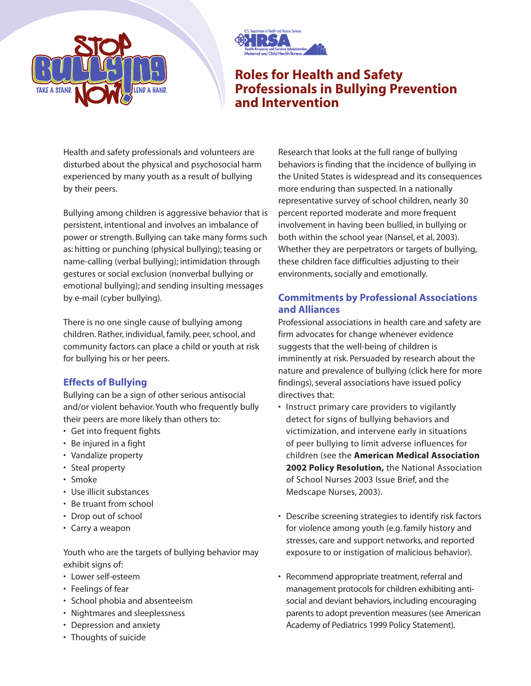



# **Roles for Health and Safety Professionals in Bullying Prevention and Intervention**

Health and safety professionals and volunteers are disturbed about the physical and psychosocial harm experienced by many youth as a result of bullying by their peers.

Bullying among children is aggressive behavior that is persistent, intentional and involves an imbalance of power or strength. Bullying can take many forms such as: hitting or punching (physical bullying); teasing or name-calling (verbal bullying); intimidation through gestures or social exclusion (nonverbal bullying or emotional bullying); and sending insulting messages by e-mail (cyber bullying).

There is no one single cause of bullying among children. Rather, individual, family, peer, school, and community factors can place a child or youth at risk for bullying his or her peers.

### **Effects of Bullying**

Bullying can be a sign of other serious antisocial and/or violent behavior. Youth who frequently bully their peers are more likely than others to:

- Get into frequent fights
- Be injured in a fight
- Vandalize property
- Steal property
- Smoke
- Use illicit substances
- Be truant from school
- Drop out of school
- Carry a weapon

Youth who are the targets of bullying behavior may exhibit signs of:

- Lower self-esteem
- Feelings of fear
- School phobia and absenteeism
- Nightmares and sleeplessness
- Depression and anxiety
- Thoughts of suicide

Research that looks at the full range of bullying behaviors is finding that the incidence of bullying in the United States is widespread and its consequences more enduring than suspected. In a nationally representative survey of school children, nearly 30 percent reported moderate and more frequent involvement in having been bullied, in bullying or both within the school year (Nansel, et al, 2003). Whether they are perpetrators or targets of bullying, these children face difficulties adjusting to their environments, socially and emotionally.

## **Commitments by Professional Associations and Alliances**

Professional associations in health care and safety are firm advocates for change whenever evidence suggests that the well-being of children is imminently at risk. Persuaded by research about the nature and prevalence of bullying (click here for more findings), several associations have issued policy directives that:

- Instruct primary care providers to vigilantly detect for signs of bullying behaviors and victimization, and intervene early in situations of peer bullying to limit adverse influences for children (see the **American Medical Association 2002 Policy Resolution,** the National Association of School Nurses 2003 Issue Brief, and the Medscape Nurses, 2003).
- Describe screening strategies to identify risk factors for violence among youth (e.g. family history and stresses, care and support networks, and reported exposure to or instigation of malicious behavior).
- Recommend appropriate treatment, referral and management protocols for children exhibiting antisocial and deviant behaviors, including encouraging parents to adopt prevention measures (see American Academy of Pediatrics 1999 Policy Statement).